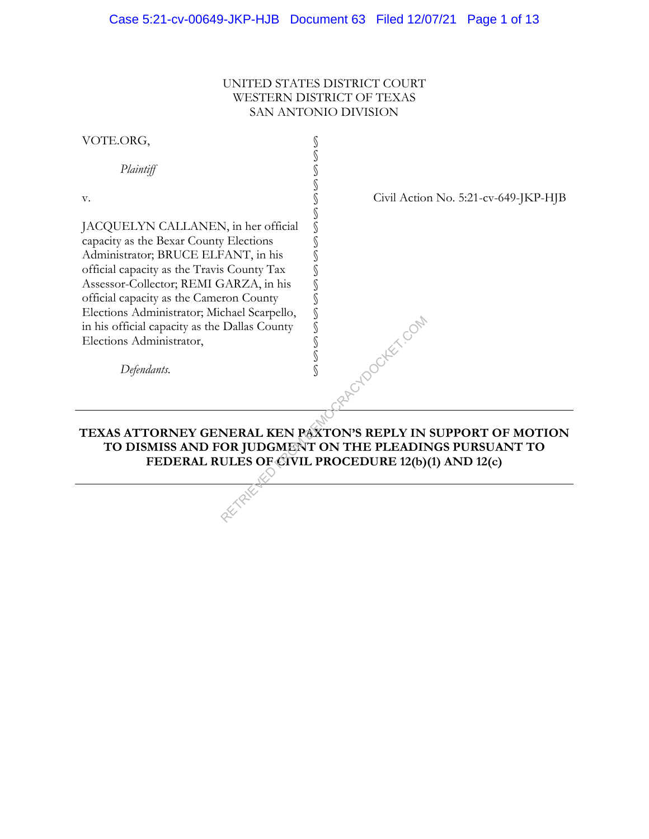### UNITED STATES DISTRICT COURT WESTERN DISTRICT OF TEXAS SAN ANTONIO DIVISION

| VOTE.ORG,                                                                                                                                                                                                                                                                                                                                                                           |                                      |
|-------------------------------------------------------------------------------------------------------------------------------------------------------------------------------------------------------------------------------------------------------------------------------------------------------------------------------------------------------------------------------------|--------------------------------------|
| Plaintiff                                                                                                                                                                                                                                                                                                                                                                           |                                      |
| V.                                                                                                                                                                                                                                                                                                                                                                                  | Civil Action No. 5:21-cv-649-JKP-HJB |
| JACQUELYN CALLANEN, in her official<br>capacity as the Bexar County Elections<br>Administrator; BRUCE ELFANT, in his<br>official capacity as the Travis County Tax<br>Assessor-Collector; REMI GARZA, in his<br>official capacity as the Cameron County<br>Elections Administrator; Michael Scarpello,<br>in his official capacity as the Dallas County<br>Elections Administrator, | S<br>DOCKET COM                      |
| Defendants.                                                                                                                                                                                                                                                                                                                                                                         |                                      |
|                                                                                                                                                                                                                                                                                                                                                                                     |                                      |
| TEXAS ATTORNEY GENERAL KEN PAXTON'S REPLY IN SUPPORT OF MOTION<br>TO DISMISS AND FOR JUDGMENT ON THE PLEADINGS PURSUANT TO<br>FEDERAL RULES OF CIVIL PROCEDURE 12(b)(1) AND 12(c)                                                                                                                                                                                                   |                                      |
|                                                                                                                                                                                                                                                                                                                                                                                     |                                      |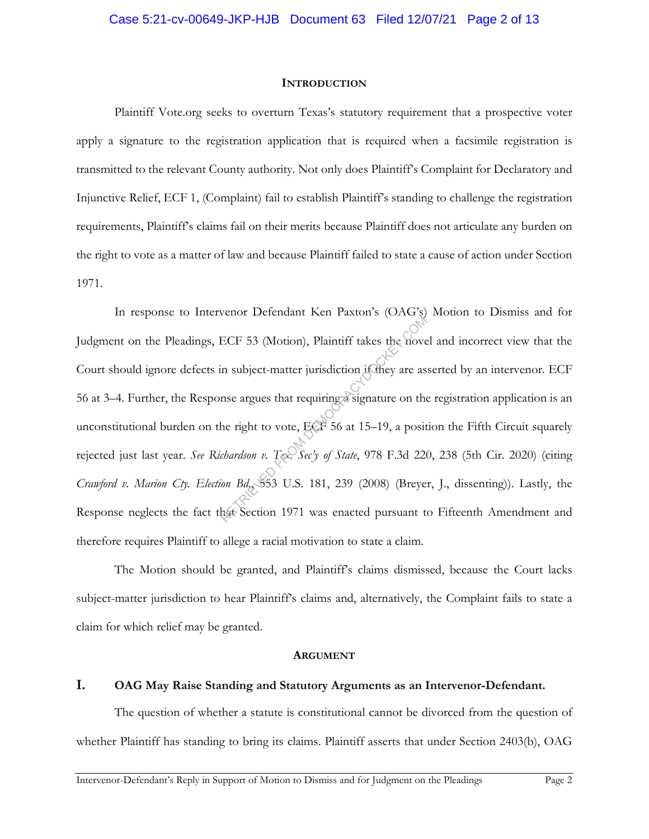#### **INTRODUCTION**

Plaintiff Vote.org seeks to overturn Texas's statutory requirement that a prospective voter apply a signature to the registration application that is required when a facsimile registration is transmitted to the relevant County authority. Not only does Plaintiff's Complaint for Declaratory and Injunctive Relief, ECF 1, (Complaint) fail to establish Plaintiff's standing to challenge the registration requirements, Plaintiff's claims fail on their merits because Plaintiff does not articulate any burden on the right to vote as a matter of law and because Plaintiff failed to state a cause of action under Section 1971.

In response to Intervenor Defendant Ken Paxton's (OAG's) Motion to Dismiss and for Judgment on the Pleadings, ECF 53 (Motion), Plaintiff takes the novel and incorrect view that the Court should ignore defects in subject-matter jurisdiction if they are asserted by an intervenor. ECF 56 at 3–4. Further, the Response argues that requiring a signature on the registration application is an unconstitutional burden on the right to vote, ECF 56 at 15–19, a position the Fifth Circuit squarely rejected just last year. *See Richardson v. Tex. Sec'y of State*, 978 F.3d 220, 238 (5th Cir. 2020) (citing *Crawford v. Marion Cty. Election Bd.*, 553 U.S. 181, 239 (2008) (Breyer, J., dissenting)). Lastly, the Response neglects the fact that Section 1971 was enacted pursuant to Fifteenth Amendment and therefore requires Plaintiff to allege a racial motivation to state a claim. ECF 53 (Motion), Plaintiff takes the nove<br>in subject-matter jurisdiction if they are as<br>mse argues that requiring a signature on the<br>the right to vote, ECF 56 at 15–19, a posit<br>chardson v. Tec. Sec'y of State, 978 F.3d 221

The Motion should be granted, and Plaintiff's claims dismissed, because the Court lacks subject-matter jurisdiction to hear Plaintiff's claims and, alternatively, the Complaint fails to state a claim for which relief may be granted.

#### **ARGUMENT**

### **I. OAG May Raise Standing and Statutory Arguments as an Intervenor-Defendant.**

The question of whether a statute is constitutional cannot be divorced from the question of whether Plaintiff has standing to bring its claims. Plaintiff asserts that under Section 2403(b), OAG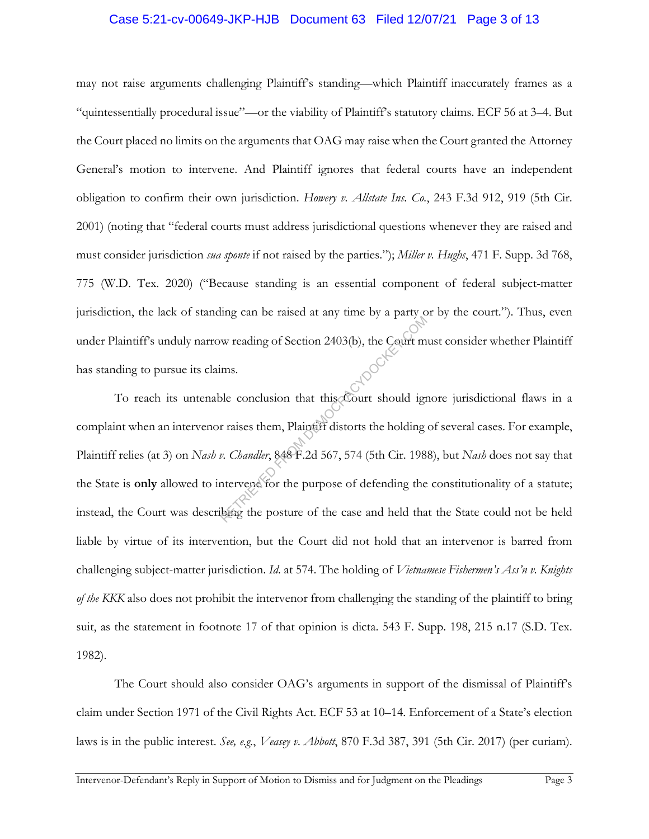#### Case 5:21-cv-00649-JKP-HJB Document 63 Filed 12/07/21 Page 3 of 13

may not raise arguments challenging Plaintiff's standing—which Plaintiff inaccurately frames as a "quintessentially procedural issue"—or the viability of Plaintiff's statutory claims. ECF 56 at 3–4. But the Court placed no limits on the arguments that OAG may raise when the Court granted the Attorney General's motion to intervene. And Plaintiff ignores that federal courts have an independent obligation to confirm their own jurisdiction. *Howery v. Allstate Ins. Co.*, 243 F.3d 912, 919 (5th Cir. 2001) (noting that "federal courts must address jurisdictional questions whenever they are raised and must consider jurisdiction *sua sponte* if not raised by the parties."); *Miller v. Hughs*, 471 F. Supp. 3d 768, 775 (W.D. Tex. 2020) ("Because standing is an essential component of federal subject-matter jurisdiction, the lack of standing can be raised at any time by a party or by the court."). Thus, even under Plaintiff's unduly narrow reading of Section 2403(b), the Court must consider whether Plaintiff has standing to pursue its claims.

To reach its untenable conclusion that this Court should ignore jurisdictional flaws in a complaint when an intervenor raises them, Plaintiff distorts the holding of several cases. For example, Plaintiff relies (at 3) on *Nash v. Chandler*, 848 F.2d 567, 574 (5th Cir. 1988), but *Nash* does not say that the State is **only** allowed to intervene for the purpose of defending the constitutionality of a statute; instead, the Court was describing the posture of the case and held that the State could not be held liable by virtue of its intervention, but the Court did not hold that an intervenor is barred from challenging subject-matter jurisdiction. *Id.* at 574. The holding of *Vietnamese Fishermen's Ass'n v. Knights of the KKK* also does not prohibit the intervenor from challenging the standing of the plaintiff to bring suit, as the statement in footnote 17 of that opinion is dicta. 543 F. Supp. 198, 215 n.17 (S.D. Tex. 1982). W reading of Section 2403(b), the Court m<br>ms.<br>ble conclusion that this Court should ign<br>r raises them, Plaintiff distorts the holding<br>w. *Chandler*, 848 F.2d 567, 574 (5th Cir. 198<br>ntervent for the purpose of defending the

The Court should also consider OAG's arguments in support of the dismissal of Plaintiff's claim under Section 1971 of the Civil Rights Act. ECF 53 at 10–14. Enforcement of a State's election laws is in the public interest. *See, e.g.*, *Veasey v. Abbott*, 870 F.3d 387, 391 (5th Cir. 2017) (per curiam).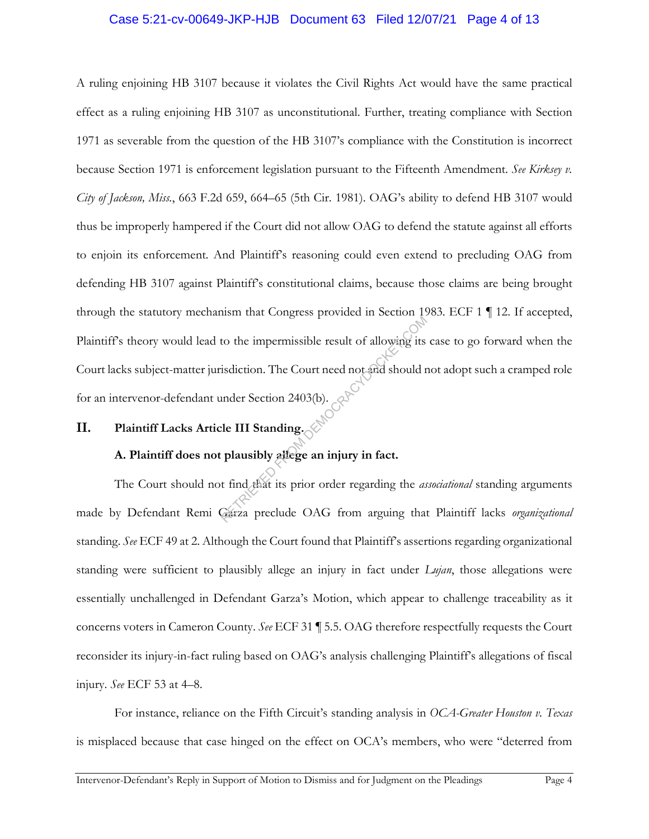### Case 5:21-cv-00649-JKP-HJB Document 63 Filed 12/07/21 Page 4 of 13

A ruling enjoining HB 3107 because it violates the Civil Rights Act would have the same practical effect as a ruling enjoining HB 3107 as unconstitutional. Further, treating compliance with Section 1971 as severable from the question of the HB 3107's compliance with the Constitution is incorrect because Section 1971 is enforcement legislation pursuant to the Fifteenth Amendment. *See Kirksey v. City of Jackson, Miss.*, 663 F.2d 659, 664–65 (5th Cir. 1981). OAG's ability to defend HB 3107 would thus be improperly hampered if the Court did not allow OAG to defend the statute against all efforts to enjoin its enforcement. And Plaintiff's reasoning could even extend to precluding OAG from defending HB 3107 against Plaintiff's constitutional claims, because those claims are being brought through the statutory mechanism that Congress provided in Section 1983. ECF 1 ¶ 12. If accepted, Plaintiff's theory would lead to the impermissible result of allowing its case to go forward when the Court lacks subject-matter jurisdiction. The Court need not and should not adopt such a cramped role for an intervenor-defendant under Section 2403(b). to the impermissible result of allowing its<br>isdiction. The Court need not and should r<br>under Section 2403(b).<br>cle III Standing.<br>plausibly allege an injury in fact.<br>t find that its prior order regarding the as

# **II. Plaintiff Lacks Article III Standing.**

### **A. Plaintiff does not plausibly allege an injury in fact.**

The Court should not find that its prior order regarding the *associational* standing arguments made by Defendant Remi Garza preclude OAG from arguing that Plaintiff lacks *organizational*  standing. *See* ECF 49 at 2. Although the Court found that Plaintiff's assertions regarding organizational standing were sufficient to plausibly allege an injury in fact under *Lujan*, those allegations were essentially unchallenged in Defendant Garza's Motion, which appear to challenge traceability as it concerns voters in Cameron County. *See* ECF 31 ¶ 5.5. OAG therefore respectfully requests the Court reconsider its injury-in-fact ruling based on OAG's analysis challenging Plaintiff's allegations of fiscal injury. *See* ECF 53 at 4–8.

For instance, reliance on the Fifth Circuit's standing analysis in *OCA-Greater Houston v. Texas* is misplaced because that case hinged on the effect on OCA's members, who were "deterred from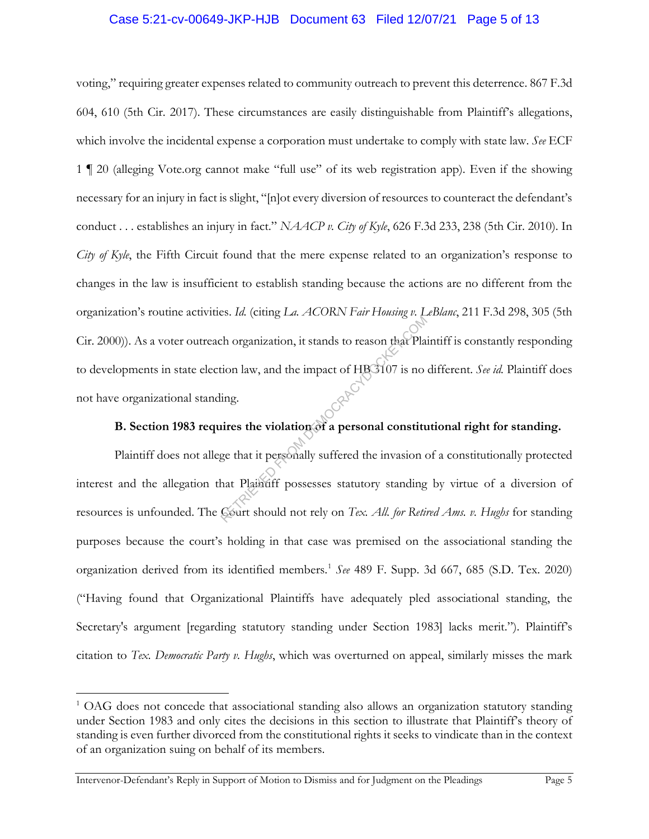### Case 5:21-cv-00649-JKP-HJB Document 63 Filed 12/07/21 Page 5 of 13

voting," requiring greater expenses related to community outreach to prevent this deterrence. 867 F.3d 604, 610 (5th Cir. 2017). These circumstances are easily distinguishable from Plaintiff's allegations, which involve the incidental expense a corporation must undertake to comply with state law. *See* ECF 1 ¶ 20 (alleging Vote.org cannot make "full use" of its web registration app). Even if the showing necessary for an injury in fact is slight, "[n]ot every diversion of resources to counteract the defendant's conduct . . . establishes an injury in fact." *NAACP v. City of Kyle*, 626 F.3d 233, 238 (5th Cir. 2010). In *City of Kyle*, the Fifth Circuit found that the mere expense related to an organization's response to changes in the law is insufficient to establish standing because the actions are no different from the organization's routine activities. *Id.* (citing *La. ACORN Fair Housing v. LeBlanc*, 211 F.3d 298, 305 (5th Cir. 2000)). As a voter outreach organization, it stands to reason that Plaintiff is constantly responding to developments in state election law, and the impact of HB 3107 is no different. *See id.* Plaintiff does not have organizational standing. RETRIEVED FROM THE TENDER OF A Plation law, and the impact of HBG107 is no<br>ing.<br>irres the violation of a personal constitution of a personal constitution of a personal constitution of a personal constitution of that Platin

# **B. Section 1983 requires the violation of a personal constitutional right for standing.**

Plaintiff does not allege that it personally suffered the invasion of a constitutionally protected interest and the allegation that Plaintiff possesses statutory standing by virtue of a diversion of resources is unfounded. The Court should not rely on *Tex. All. for Retired Ams. v. Hughs* for standing purposes because the court's holding in that case was premised on the associational standing the organization derived from its identified members.1 *See* 489 F. Supp. 3d 667, 685 (S.D. Tex. 2020) ("Having found that Organizational Plaintiffs have adequately pled associational standing, the Secretary's argument [regarding statutory standing under Section 1983] lacks merit."). Plaintiff's citation to *Tex. Democratic Party v. Hughs*, which was overturned on appeal, similarly misses the mark

 $1$  OAG does not concede that associational standing also allows an organization statutory standing under Section 1983 and only cites the decisions in this section to illustrate that Plaintiff's theory of standing is even further divorced from the constitutional rights it seeks to vindicate than in the context of an organization suing on behalf of its members.

Intervenor-Defendant's Reply in Support of Motion to Dismiss and for Judgment on the Pleadings Page 5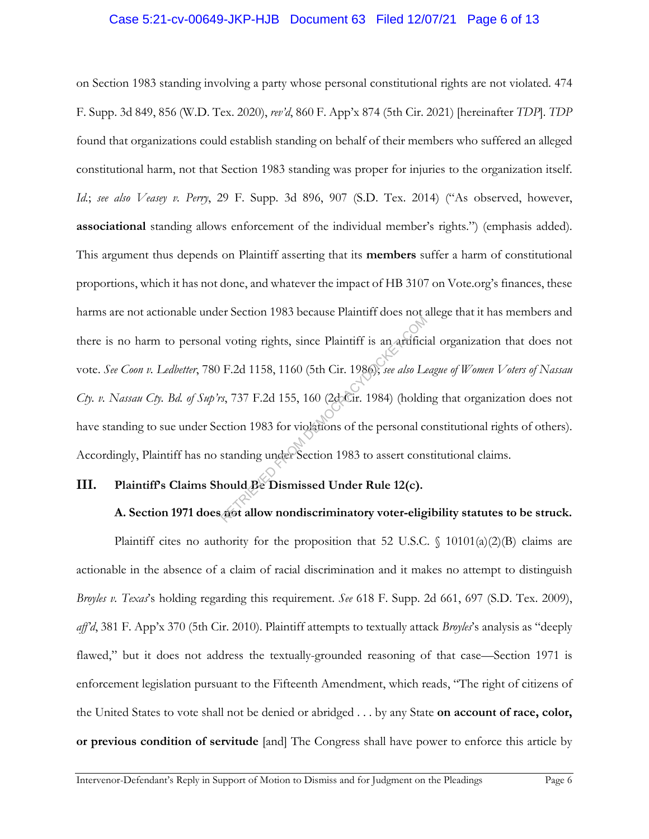### Case 5:21-cv-00649-JKP-HJB Document 63 Filed 12/07/21 Page 6 of 13

on Section 1983 standing involving a party whose personal constitutional rights are not violated. 474 F. Supp. 3d 849, 856 (W.D. Tex. 2020), *rev'd*, 860 F. App'x 874 (5th Cir. 2021) [hereinafter *TDP*]. *TDP* found that organizations could establish standing on behalf of their members who suffered an alleged constitutional harm, not that Section 1983 standing was proper for injuries to the organization itself. *Id.*; *see also Veasey v. Perry*, 29 F. Supp. 3d 896, 907 (S.D. Tex. 2014) ("As observed, however, **associational** standing allows enforcement of the individual member's rights.") (emphasis added). This argument thus depends on Plaintiff asserting that its **members** suffer a harm of constitutional proportions, which it has not done, and whatever the impact of HB 3107 on Vote.org's finances, these harms are not actionable under Section 1983 because Plaintiff does not allege that it has members and there is no harm to personal voting rights, since Plaintiff is an artificial organization that does not vote. *See Coon v. Ledbetter*, 780 F.2d 1158, 1160 (5th Cir. 1986); *see also League of Women Voters of Nassau Cty. v. Nassau Cty. Bd. of Sup'rs*, 737 F.2d 155, 160 (2d Cir. 1984) (holding that organization does not have standing to sue under Section 1983 for violations of the personal constitutional rights of others). Accordingly, Plaintiff has no standing under Section 1983 to assert constitutional claims. research Post Secular Plaintiff is an artificid<br>F.2d 1158, 1160 (5th Cir. 1986); see also Le<br>s, 737 F.2d 155, 160 (2decir. 1984) (holdin<br>cction 1983 for violations of the personal constanding under Section 1983 to assert c

### **III. Plaintiff's Claims Should Be Dismissed Under Rule 12(c).**

### **A. Section 1971 does not allow nondiscriminatory voter-eligibility statutes to be struck.**

Plaintiff cites no authority for the proposition that 52 U.S.C.  $\oint$  10101(a)(2)(B) claims are actionable in the absence of a claim of racial discrimination and it makes no attempt to distinguish *Broyles v. Texas*'s holding regarding this requirement. *See* 618 F. Supp. 2d 661, 697 (S.D. Tex. 2009), *aff'd*, 381 F. App'x 370 (5th Cir. 2010). Plaintiff attempts to textually attack *Broyles*'s analysis as "deeply flawed," but it does not address the textually-grounded reasoning of that case—Section 1971 is enforcement legislation pursuant to the Fifteenth Amendment, which reads, "The right of citizens of the United States to vote shall not be denied or abridged . . . by any State **on account of race, color, or previous condition of servitude** [and] The Congress shall have power to enforce this article by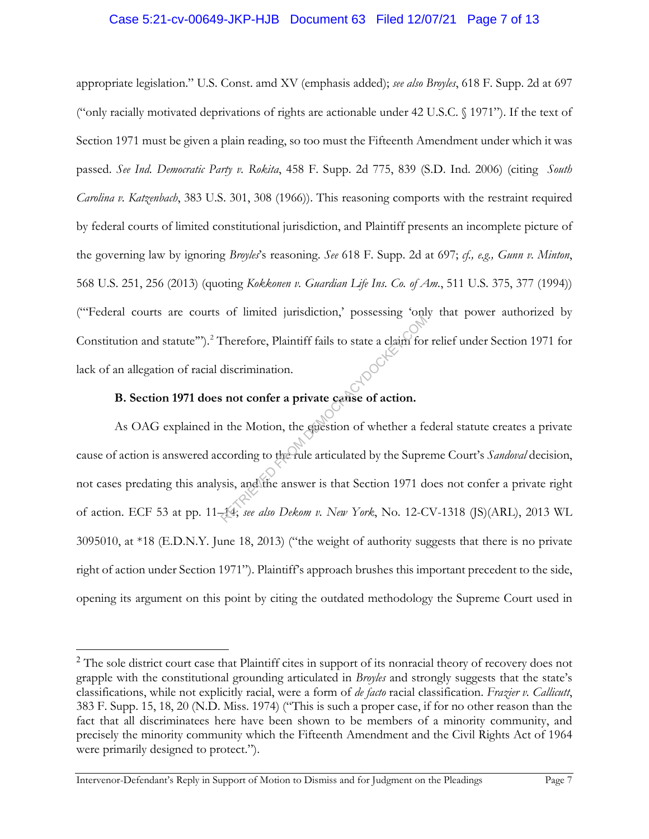### Case 5:21-cv-00649-JKP-HJB Document 63 Filed 12/07/21 Page 7 of 13

appropriate legislation." U.S. Const. amd XV (emphasis added); *see also Broyles*, 618 F. Supp. 2d at 697 ("only racially motivated deprivations of rights are actionable under 42 U.S.C. § 1971"). If the text of Section 1971 must be given a plain reading, so too must the Fifteenth Amendment under which it was passed. *See Ind. Democratic Party v. Rokita*, 458 F. Supp. 2d 775, 839 (S.D. Ind. 2006) (citing *South Carolina v. Katzenbach*, 383 U.S. 301, 308 (1966)). This reasoning comports with the restraint required by federal courts of limited constitutional jurisdiction, and Plaintiff presents an incomplete picture of the governing law by ignoring *Broyles*'s reasoning. *See* 618 F. Supp. 2d at 697; *cf., e.g., Gunn v. Minton*, 568 U.S. 251, 256 (2013) (quoting *Kokkonen v. Guardian Life Ins. Co. of Am.*, 511 U.S. 375, 377 (1994)) ("'Federal courts are courts of limited jurisdiction,' possessing 'only that power authorized by Constitution and statute'"). <sup>2</sup> Therefore, Plaintiff fails to state a claim for relief under Section 1971 for lack of an allegation of racial discrimination.

### **B. Section 1971 does not confer a private cause of action.**

As OAG explained in the Motion, the question of whether a federal statute creates a private cause of action is answered according to the rule articulated by the Supreme Court's *Sandoval* decision, not cases predating this analysis, and the answer is that Section 1971 does not confer a private right of action. ECF 53 at pp. 11–14; *see also Dekom v. New York*, No. 12-CV-1318 (JS)(ARL), 2013 WL 3095010, at \*18 (E.D.N.Y. June 18, 2013) ("the weight of authority suggests that there is no private right of action under Section 1971"). Plaintiff's approach brushes this important precedent to the side, opening its argument on this point by citing the outdated methodology the Supreme Court used in Therefore, Plaintiff fails to state a claim for<br>discrimination.<br>**a not confer a private cause of action.**<br>1 the Motion, the guestion of whether a fe<br>cording to the fule articulated by the Supressis, and the answer is tha

<sup>&</sup>lt;sup>2</sup> The sole district court case that Plaintiff cites in support of its nonracial theory of recovery does not grapple with the constitutional grounding articulated in *Broyles* and strongly suggests that the state's classifications, while not explicitly racial, were a form of *de facto* racial classification. *Frazier v. Callicutt*, 383 F. Supp. 15, 18, 20 (N.D. Miss. 1974) ("This is such a proper case, if for no other reason than the fact that all discriminatees here have been shown to be members of a minority community, and precisely the minority community which the Fifteenth Amendment and the Civil Rights Act of 1964 were primarily designed to protect.").

Intervenor-Defendant's Reply in Support of Motion to Dismiss and for Judgment on the Pleadings Page 7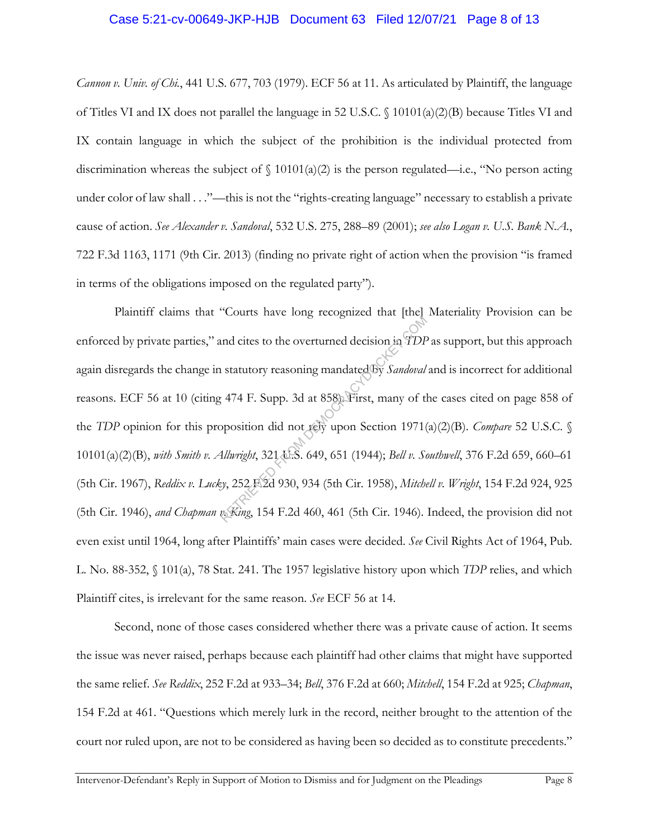#### Case 5:21-cv-00649-JKP-HJB Document 63 Filed 12/07/21 Page 8 of 13

*Cannon v. Univ. of Chi.*, 441 U.S. 677, 703 (1979). ECF 56 at 11. As articulated by Plaintiff, the language of Titles VI and IX does not parallel the language in 52 U.S.C. § 10101(a)(2)(B) because Titles VI and IX contain language in which the subject of the prohibition is the individual protected from discrimination whereas the subject of  $\int$  10101(a)(2) is the person regulated—i.e., "No person acting under color of law shall . . ."—this is not the "rights-creating language" necessary to establish a private cause of action. *See Alexander v. Sandoval*, 532 U.S. 275, 288–89 (2001); *see also Logan v. U.S. Bank N.A.*, 722 F.3d 1163, 1171 (9th Cir. 2013) (finding no private right of action when the provision "is framed in terms of the obligations imposed on the regulated party").

Plaintiff claims that "Courts have long recognized that [the] Materiality Provision can be enforced by private parties," and cites to the overturned decision in *TDP* as support, but this approach again disregards the change in statutory reasoning mandated by *Sandoval* and is incorrect for additional reasons. ECF 56 at 10 (citing 474 F. Supp. 3d at 858). First, many of the cases cited on page 858 of the *TDP* opinion for this proposition did not rely upon Section 1971(a)(2)(B). *Compare* 52 U.S.C. § 10101(a)(2)(B), *with Smith v. Allwright*, 321 U.S. 649, 651 (1944); *Bell v. Southwell*, 376 F.2d 659, 660–61 (5th Cir. 1967), *Reddix v. Lucky*, 252 F.2d 930, 934 (5th Cir. 1958), *Mitchell v. Wright*, 154 F.2d 924, 925 (5th Cir. 1946), *and Chapman v. King*, 154 F.2d 460, 461 (5th Cir. 1946). Indeed, the provision did not even exist until 1964, long after Plaintiffs' main cases were decided. *See* Civil Rights Act of 1964, Pub. L. No. 88-352, § 101(a), 78 Stat. 241. The 1957 legislative history upon which *TDP* relies, and which Plaintiff cites, is irrelevant for the same reason. *See* ECF 56 at 14. and cites to the overturned decision in TDF<br>
is statutory reasoning mandated by *Sandoval*<br>
(474 F. Supp. 3d at 858). First, many of the<br>
position did not rely upon Section 1971<br>
(*Allwright*, 321 A.S. 649, 651 (1944); *Be* 

Second, none of those cases considered whether there was a private cause of action. It seems the issue was never raised, perhaps because each plaintiff had other claims that might have supported the same relief. *See Reddix*, 252 F.2d at 933–34; *Bell*, 376 F.2d at 660; *Mitchell*, 154 F.2d at 925; *Chapman*, 154 F.2d at 461. "Questions which merely lurk in the record, neither brought to the attention of the court nor ruled upon, are not to be considered as having been so decided as to constitute precedents."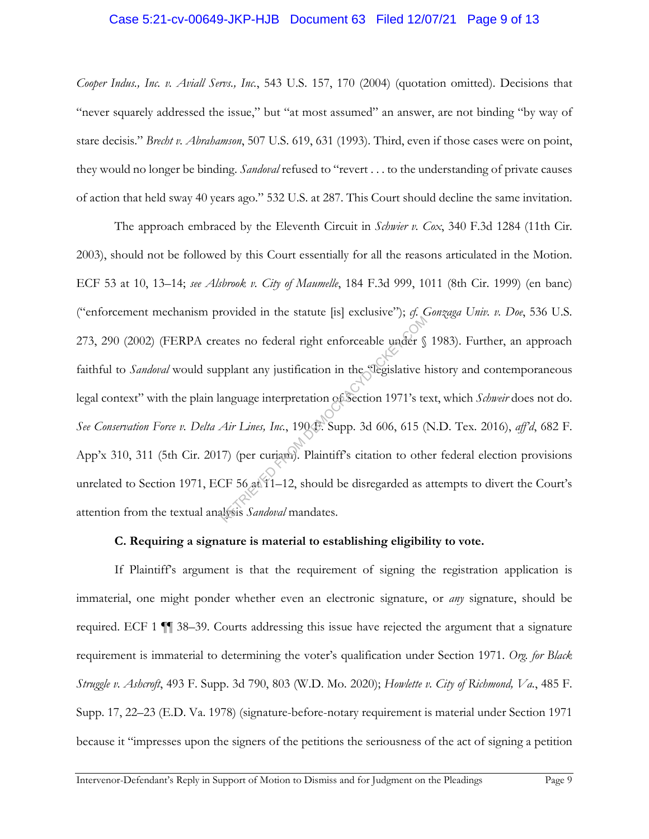### Case 5:21-cv-00649-JKP-HJB Document 63 Filed 12/07/21 Page 9 of 13

*Cooper Indus., Inc. v. Aviall Servs., Inc.*, 543 U.S. 157, 170 (2004) (quotation omitted). Decisions that "never squarely addressed the issue," but "at most assumed" an answer, are not binding "by way of stare decisis." *Brecht v. Abrahamson*, 507 U.S. 619, 631 (1993). Third, even if those cases were on point, they would no longer be binding. *Sandoval* refused to "revert . . . to the understanding of private causes of action that held sway 40 years ago." 532 U.S. at 287. This Court should decline the same invitation.

The approach embraced by the Eleventh Circuit in *Schwier v. Cox*, 340 F.3d 1284 (11th Cir. 2003), should not be followed by this Court essentially for all the reasons articulated in the Motion. ECF 53 at 10, 13–14; *see Alsbrook v. City of Maumelle*, 184 F.3d 999, 1011 (8th Cir. 1999) (en banc) ("enforcement mechanism provided in the statute [is] exclusive"); *cf. Gonzaga Univ. v. Doe*, 536 U.S. 273, 290 (2002) (FERPA creates no federal right enforceable under § 1983). Further, an approach faithful to *Sandoval* would supplant any justification in the *degislative history* and contemporaneous legal context" with the plain language interpretation of Section 1971's text, which *Schweir* does not do. *See Conservation Force v. Delta Air Lines, Inc.*, 190 F. Supp. 3d 606, 615 (N.D. Tex. 2016), *aff'd*, 682 F. App'x 310, 311 (5th Cir. 2017) (per curiam). Plaintiff's citation to other federal election provisions unrelated to Section 1971, ECF 56 at 11-12, should be disregarded as attempts to divert the Court's attention from the textual analysis *Sandoval* mandates. Extracted in the statutie pay encourance in the status of Separative 1<br>Splant any justification in the slegislative 1<br>anguage interpretation of Section 1971's te<br>Air Lines, Inc., 1904: Supp. 3d 606, 615 (1<br>7) (per curiam).

### **C. Requiring a signature is material to establishing eligibility to vote.**

If Plaintiff's argument is that the requirement of signing the registration application is immaterial, one might ponder whether even an electronic signature, or *any* signature, should be required. ECF 1 ¶¶ 38–39. Courts addressing this issue have rejected the argument that a signature requirement is immaterial to determining the voter's qualification under Section 1971. *Org. for Black Struggle v. Ashcroft*, 493 F. Supp. 3d 790, 803 (W.D. Mo. 2020); *Howlette v. City of Richmond, Va.*, 485 F. Supp. 17, 22–23 (E.D. Va. 1978) (signature-before-notary requirement is material under Section 1971 because it "impresses upon the signers of the petitions the seriousness of the act of signing a petition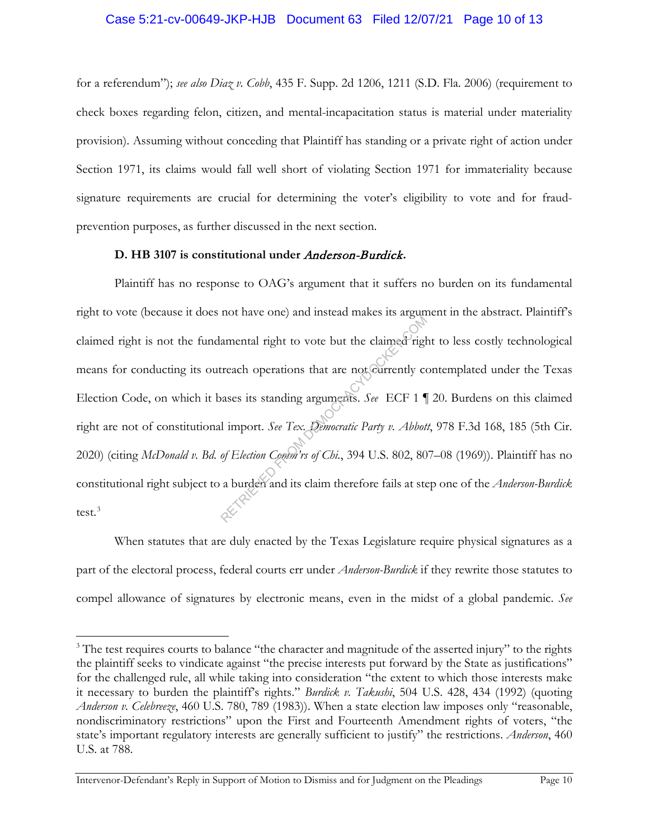### Case 5:21-cv-00649-JKP-HJB Document 63 Filed 12/07/21 Page 10 of 13

for a referendum"); *see also Diaz v. Cobb*, 435 F. Supp. 2d 1206, 1211 (S.D. Fla. 2006) (requirement to check boxes regarding felon, citizen, and mental-incapacitation status is material under materiality provision). Assuming without conceding that Plaintiff has standing or a private right of action under Section 1971, its claims would fall well short of violating Section 1971 for immateriality because signature requirements are crucial for determining the voter's eligibility to vote and for fraudprevention purposes, as further discussed in the next section.

#### **D. HB 3107 is constitutional under** Anderson-Burdick**.**

Plaintiff has no response to OAG's argument that it suffers no burden on its fundamental right to vote (because it does not have one) and instead makes its argument in the abstract. Plaintiff's claimed right is not the fundamental right to vote but the claimed right to less costly technological means for conducting its outreach operations that are not currently contemplated under the Texas Election Code, on which it bases its standing arguments. *See* ECF 1 ¶ 20. Burdens on this claimed right are not of constitutional import. *See Tex. Democratic Party v. Abbott*, 978 F.3d 168, 185 (5th Cir. 2020) (citing *McDonald v. Bd. of Election Comm'rs of Chi.*, 394 U.S. 802, 807–08 (1969)). Plaintiff has no constitutional right subject to a burden and its claim therefore fails at step one of the *Anderson-Burdick* test. $3$ amental right to vote but the claimed right<br>treach operations that are not currently consess its standing arguments. See ECF 1

When statutes that are duly enacted by the Texas Legislature require physical signatures as a part of the electoral process, federal courts err under *Anderson-Burdick* if they rewrite those statutes to compel allowance of signatures by electronic means, even in the midst of a global pandemic. *See* 

 $3$  The test requires courts to balance "the character and magnitude of the asserted injury" to the rights the plaintiff seeks to vindicate against "the precise interests put forward by the State as justifications" for the challenged rule, all while taking into consideration "the extent to which those interests make it necessary to burden the plaintiff's rights." *Burdick v. Takushi*, 504 U.S. 428, 434 (1992) (quoting *Anderson v. Celebreeze*, 460 U.S. 780, 789 (1983)). When a state election law imposes only "reasonable, nondiscriminatory restrictions" upon the First and Fourteenth Amendment rights of voters, "the state's important regulatory interests are generally sufficient to justify" the restrictions. *Anderson*, 460 U.S. at 788.

Intervenor-Defendant's Reply in Support of Motion to Dismiss and for Judgment on the Pleadings Page 10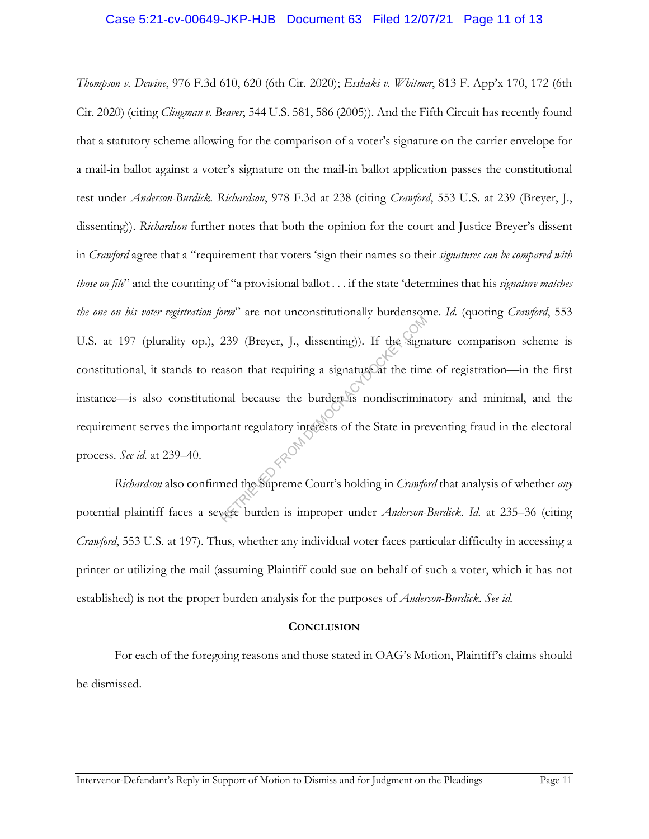### Case 5:21-cv-00649-JKP-HJB Document 63 Filed 12/07/21 Page 11 of 13

*Thompson v. Dewine*, 976 F.3d 610, 620 (6th Cir. 2020); *Esshaki v. Whitmer*, 813 F. App'x 170, 172 (6th Cir. 2020) (citing *Clingman v. Beaver*, 544 U.S. 581, 586 (2005)). And the Fifth Circuit has recently found that a statutory scheme allowing for the comparison of a voter's signature on the carrier envelope for a mail-in ballot against a voter's signature on the mail-in ballot application passes the constitutional test under *Anderson-Burdick*. *Richardson*, 978 F.3d at 238 (citing *Crawford*, 553 U.S. at 239 (Breyer, J., dissenting)). *Richardson* further notes that both the opinion for the court and Justice Breyer's dissent in *Crawford* agree that a "requirement that voters 'sign their names so their *signatures can be compared with those on file*" and the counting of "a provisional ballot . . . if the state 'determines that his *signature matches the one on his voter registration form*" are not unconstitutionally burdensome. *Id.* (quoting *Crawford*, 553 U.S. at 197 (plurality op.), 239 (Breyer, J., dissenting)). If the signature comparison scheme is constitutional, it stands to reason that requiring a signature at the time of registration—in the first instance—is also constitutional because the burden is nondiscriminatory and minimal, and the requirement serves the important regulatory interests of the State in preventing fraud in the electoral process. *See id.* at 239–40. The the dissistantial share of the Sign:<br>239 (Breyer, J., dissenting)). If the Sign:<br>ason that requiring a signature at the time<br>nal because the burden is nondiscrimin<br>tant regulatory interests of the State in precise<br>and

*Richardson* also confirmed the Supreme Court's holding in *Crawford* that analysis of whether *any* potential plaintiff faces a severe burden is improper under *Anderson-Burdick*. *Id.* at 235–36 (citing *Crawford*, 553 U.S. at 197). Thus, whether any individual voter faces particular difficulty in accessing a printer or utilizing the mail (assuming Plaintiff could sue on behalf of such a voter, which it has not established) is not the proper burden analysis for the purposes of *Anderson-Burdick*. *See id.*

#### **CONCLUSION**

For each of the foregoing reasons and those stated in OAG's Motion, Plaintiff's claims should be dismissed.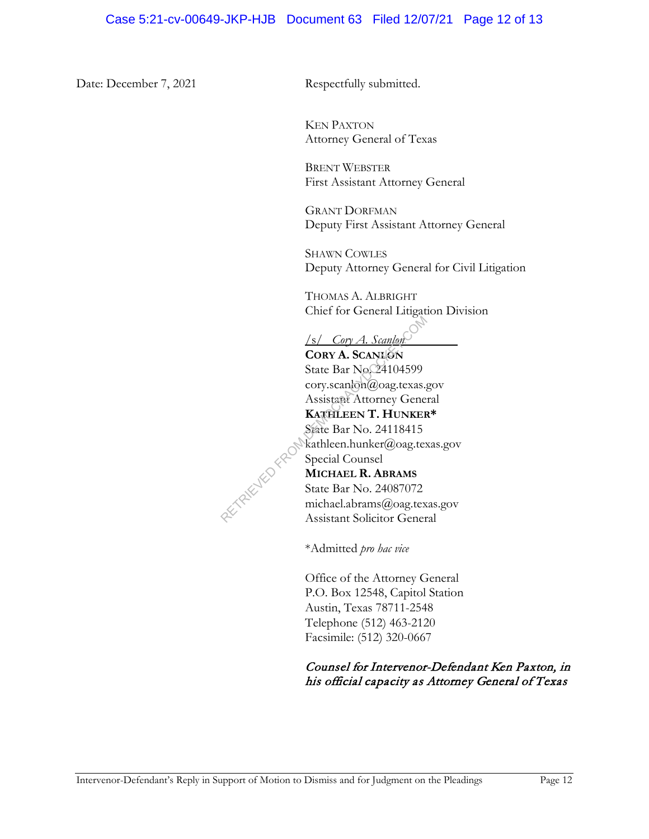Date: December 7, 2021 Respectfully submitted.

KEN PAXTON Attorney General of Texas

BRENT WEBSTER First Assistant Attorney General

GRANT DORFMAN Deputy First Assistant Attorney General

SHAWN COWLES Deputy Attorney General for Civil Litigation

THOMAS A. ALBRIGHT Chief for General Litigation Division

/s/ *Cory A. Scanlon* 

**CORY A. SCANLON** State Bar No. 24104599 cory.scanlon@oag.texas.gov Assistant Attorney General **KATHLEEN T. HUNKER\***  State Bar No. 24118415 kathleen.hunker@oag.texas.gov Special Counsel **MICHAEL R. ABRAMS** State Bar No. 24087072 michael.abrams@oag.texas.gov Assistant Solicitor General Sammen Correlation State Bar No. 24104599<br>
State Bar No. 24104599<br>
cory.scanlon@oag.texas.g<br>
Assistant Attorney Gene<br>
KATHLEEN T. HUNKER<br>
State Bar No. 24118415<br>
State Bar No. 24087072<br>
michael.abrams@oag.tex<br>
Assistant So

\*Admitted *pro hac vice*

Office of the Attorney General P.O. Box 12548, Capitol Station Austin, Texas 78711-2548 Telephone (512) 463-2120 Facsimile: (512) 320-0667

# Counsel for Intervenor-Defendant Ken Paxton, in his official capacity as Attorney General of Texas